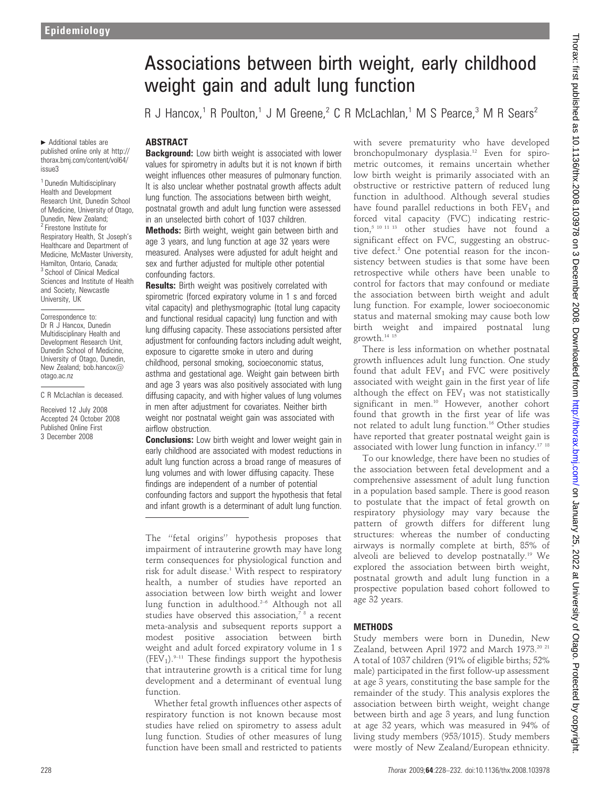$\blacktriangleright$  Additional tables are published online only at http:// thorax.bmj.com/content/vol64/ issue3

<sup>1</sup> Dunedin Multidisciplinary Health and Development Research Unit, Dunedin School of Medicine, University of Otago, Dunedin, New Zealand: <sup>2</sup> Firestone Institute for Respiratory Health, St Joseph's Healthcare and Department of Medicine, McMaster University, Hamilton, Ontario, Canada; <sup>3</sup> School of Clinical Medical Sciences and Institute of Health and Society, Newcastle University, UK

Correspondence to: Dr R J Hancox, Dunedin Multidisciplinary Health and Development Research Unit, Dunedin School of Medicine, University of Otago, Dunedin, New Zealand; bob.hancox@ otago.ac.nz

C R McLachlan is deceased.

Received 12 July 2008 Accepted 24 October 2008 Published Online First 3 December 2008

# Associations between birth weight, early childhood weight gain and adult lung function

R J Hancox,<sup>1</sup> R Poulton,<sup>1</sup> J M Greene,<sup>2</sup> C R McLachlan,<sup>1</sup> M S Pearce,<sup>3</sup> M R Sears<sup>2</sup>

# ABSTRACT

**Background:** Low birth weight is associated with lower values for spirometry in adults but it is not known if birth weight influences other measures of pulmonary function. It is also unclear whether postnatal growth affects adult lung function. The associations between birth weight, postnatal growth and adult lung function were assessed in an unselected birth cohort of 1037 children.

**Methods:** Birth weight, weight gain between birth and age 3 years, and lung function at age 32 years were measured. Analyses were adjusted for adult height and sex and further adjusted for multiple other potential confounding factors.

**Results:** Birth weight was positively correlated with spirometric (forced expiratory volume in 1 s and forced vital capacity) and plethysmographic (total lung capacity and functional residual capacity) lung function and with lung diffusing capacity. These associations persisted after adjustment for confounding factors including adult weight, exposure to cigarette smoke in utero and during childhood, personal smoking, socioeconomic status, asthma and gestational age. Weight gain between birth and age 3 years was also positively associated with lung diffusing capacity, and with higher values of lung volumes in men after adjustment for covariates. Neither birth weight nor postnatal weight gain was associated with airflow obstruction.

**Conclusions:** Low birth weight and lower weight gain in early childhood are associated with modest reductions in adult lung function across a broad range of measures of lung volumes and with lower diffusing capacity. These findings are independent of a number of potential confounding factors and support the hypothesis that fetal and infant growth is a determinant of adult lung function.

The ''fetal origins'' hypothesis proposes that impairment of intrauterine growth may have long term consequences for physiological function and risk for adult disease.<sup>1</sup> With respect to respiratory health, a number of studies have reported an association between low birth weight and lower lung function in adulthood.<sup>2-6</sup> Although not all studies have observed this association, $78$  a recent meta-analysis and subsequent reports support a modest positive association between birth weight and adult forced expiratory volume in 1 s  $(FEV<sub>1</sub>)<sup>9–11</sup>$  These findings support the hypothesis that intrauterine growth is a critical time for lung development and a determinant of eventual lung function.

Whether fetal growth influences other aspects of respiratory function is not known because most studies have relied on spirometry to assess adult lung function. Studies of other measures of lung function have been small and restricted to patients

with severe prematurity who have developed bronchopulmonary dysplasia.12 Even for spirometric outcomes, it remains uncertain whether low birth weight is primarily associated with an obstructive or restrictive pattern of reduced lung function in adulthood. Although several studies have found parallel reductions in both  $FEV<sub>1</sub>$  and forced vital capacity (FVC) indicating restriction,5 10 11 13 other studies have not found a significant effect on FVC, suggesting an obstructive defect.<sup>2</sup> One potential reason for the inconsistency between studies is that some have been retrospective while others have been unable to control for factors that may confound or mediate the association between birth weight and adult lung function. For example, lower socioeconomic status and maternal smoking may cause both low birth weight and impaired postnatal lung growth.14 15

There is less information on whether postnatal growth influences adult lung function. One study found that adult  $FEV<sub>1</sub>$  and  $FVC$  were positively associated with weight gain in the first year of life although the effect on  $FEV<sub>1</sub>$  was not statistically significant in men.<sup>10</sup> However, another cohort found that growth in the first year of life was not related to adult lung function.<sup>16</sup> Other studies have reported that greater postnatal weight gain is associated with lower lung function in infancy.<sup>17 18</sup>

To our knowledge, there have been no studies of the association between fetal development and a comprehensive assessment of adult lung function in a population based sample. There is good reason to postulate that the impact of fetal growth on respiratory physiology may vary because the pattern of growth differs for different lung structures: whereas the number of conducting airways is normally complete at birth, 85% of alveoli are believed to develop postnatally.<sup>19</sup> We explored the association between birth weight, postnatal growth and adult lung function in a prospective population based cohort followed to age 32 years.

# **METHODS**

Study members were born in Dunedin, New Zealand, between April 1972 and March 1973.<sup>20 21</sup> A total of 1037 children (91% of eligible births; 52% male) participated in the first follow-up assessment at age 3 years, constituting the base sample for the remainder of the study. This analysis explores the association between birth weight, weight change between birth and age 3 years, and lung function at age 32 years, which was measured in 94% of living study members (953/1015). Study members were mostly of New Zealand/European ethnicity.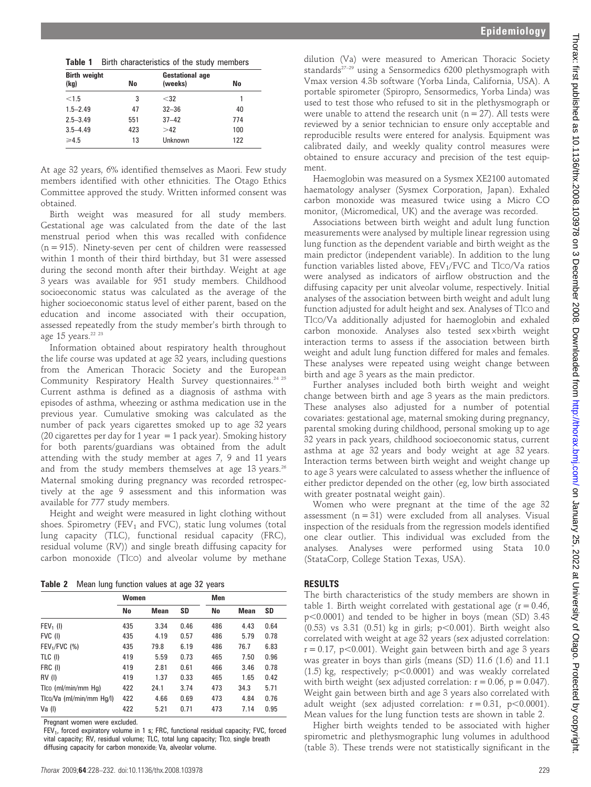| $3.5 - 4.49$<br>___ | 423 | >42 | 100 |
|---------------------|-----|-----|-----|
|                     |     |     |     |

Birth weight (kg) No

At age 32 years, 6% identified themselves as Maori. Few study members identified with other ethnicities. The Otago Ethics Committee approved the study. Written informed consent was obtained.

Table 1 Birth characteristics of the study members

 $< 1.5$  3  $< 32$  1 1.5–2.49 47 32–36 40 2.5–3.49 551 37–42 774

 $\geqslant$ 4.5 13 Unknown 122

Gestational age (weeks) No

Birth weight was measured for all study members. Gestational age was calculated from the date of the last menstrual period when this was recalled with confidence (n = 915). Ninety-seven per cent of children were reassessed within 1 month of their third birthday, but 31 were assessed during the second month after their birthday. Weight at age 3 years was available for 951 study members. Childhood socioeconomic status was calculated as the average of the higher socioeconomic status level of either parent, based on the education and income associated with their occupation, assessed repeatedly from the study member's birth through to age 15 years. $22223$ 

Information obtained about respiratory health throughout the life course was updated at age 32 years, including questions from the American Thoracic Society and the European Community Respiratory Health Survey questionnaires.<sup>24 25</sup> Current asthma is defined as a diagnosis of asthma with episodes of asthma, wheezing or asthma medication use in the previous year. Cumulative smoking was calculated as the number of pack years cigarettes smoked up to age 32 years (20 cigarettes per day for 1 year  $=$  1 pack year). Smoking history for both parents/guardians was obtained from the adult attending with the study member at ages 7, 9 and 11 years and from the study members themselves at age 13 years.<sup>26</sup> Maternal smoking during pregnancy was recorded retrospectively at the age 9 assessment and this information was available for 777 study members.

Height and weight were measured in light clothing without shoes. Spirometry (FEV<sub>1</sub> and FVC), static lung volumes (total lung capacity (TLC), functional residual capacity (FRC), residual volume (RV)) and single breath diffusing capacity for carbon monoxide (TlCO) and alveolar volume by methane

| Table 2<br>Mean lung function values at age 32 years |  |
|------------------------------------------------------|--|
|------------------------------------------------------|--|

|                          | Women |             |           | Men |             |      |
|--------------------------|-------|-------------|-----------|-----|-------------|------|
|                          | No    | <b>Mean</b> | <b>SD</b> | No  | <b>Mean</b> | SD   |
| $FEV1$ (I)               | 435   | 3.34        | 0.46      | 486 | 4.43        | 0.64 |
| FVC (I)                  | 435   | 4.19        | 0.57      | 486 | 5.79        | 0.78 |
| $FEV1/FVC$ (%)           | 435   | 79.8        | 6.19      | 486 | 76.7        | 6.83 |
| TLC (I)                  | 419   | 5.59        | 0.73      | 465 | 7.50        | 0.96 |
| FRC (I)                  | 419   | 2.81        | 0.61      | 466 | 3.46        | 0.78 |
| RV(1)                    | 419   | 1.37        | 0.33      | 465 | 1.65        | 0.42 |
| Tico (ml/min/mm Hq)      | 422   | 24.1        | 3.74      | 473 | 34.3        | 5.71 |
| Tico/Va (ml/min/mm Hg/l) | 422   | 4.66        | 0.69      | 473 | 4.84        | 0.76 |
| Va (I)                   | 422   | 5.21        | 0.71      | 473 | 7.14        | 0.95 |

Pregnant women were excluded.

FEV<sub>1</sub>, forced expiratory volume in 1 s; FRC, functional residual capacity; FVC, forced vital capacity; RV, residual volume; TLC, total lung capacity; Tlco, single breath diffusing capacity for carbon monoxide; Va, alveolar volume.

dilution (Va) were measured to American Thoracic Society standards<sup>27-29</sup> using a Sensormedics 6200 plethysmograph with Vmax version 4.3b software (Yorba Linda, California, USA). A portable spirometer (Spiropro, Sensormedics, Yorba Linda) was used to test those who refused to sit in the plethysmograph or were unable to attend the research unit ( $n = 27$ ). All tests were reviewed by a senior technician to ensure only acceptable and reproducible results were entered for analysis. Equipment was calibrated daily, and weekly quality control measures were obtained to ensure accuracy and precision of the test equipment.

Haemoglobin was measured on a Sysmex XE2100 automated haematology analyser (Sysmex Corporation, Japan). Exhaled carbon monoxide was measured twice using a Micro CO monitor, (Micromedical, UK) and the average was recorded.

Associations between birth weight and adult lung function measurements were analysed by multiple linear regression using lung function as the dependent variable and birth weight as the main predictor (independent variable). In addition to the lung function variables listed above,  $FEV_1/FVC$  and  $Tlco/Va$  ratios were analysed as indicators of airflow obstruction and the diffusing capacity per unit alveolar volume, respectively. Initial analyses of the association between birth weight and adult lung function adjusted for adult height and sex. Analyses of Tlco and TlCO/Va additionally adjusted for haemoglobin and exhaled carbon monoxide. Analyses also tested sexxbirth weight interaction terms to assess if the association between birth weight and adult lung function differed for males and females. These analyses were repeated using weight change between birth and age 3 years as the main predictor.

Further analyses included both birth weight and weight change between birth and age 3 years as the main predictors. These analyses also adjusted for a number of potential covariates: gestational age, maternal smoking during pregnancy, parental smoking during childhood, personal smoking up to age 32 years in pack years, childhood socioeconomic status, current asthma at age 32 years and body weight at age 32 years. Interaction terms between birth weight and weight change up to age 3 years were calculated to assess whether the influence of either predictor depended on the other (eg, low birth associated with greater postnatal weight gain).

Women who were pregnant at the time of the age 32 assessment  $(n = 31)$  were excluded from all analyses. Visual inspection of the residuals from the regression models identified one clear outlier. This individual was excluded from the analyses. Analyses were performed using Stata 10.0 (StataCorp, College Station Texas, USA).

#### RESULTS

The birth characteristics of the study members are shown in table 1. Birth weight correlated with gestational age  $(r = 0.46)$ ,  $p<0.0001$ ) and tended to be higher in boys (mean (SD) 3.43  $(0.53)$  vs 3.31  $(0.51)$  kg in girls; p<0.001). Birth weight also correlated with weight at age 32 years (sex adjusted correlation:  $r = 0.17$ , p $< 0.001$ ). Weight gain between birth and age 3 years was greater in boys than girls (means (SD) 11.6 (1.6) and 11.1 (1.5) kg, respectively;  $p<0.0001$ ) and was weakly correlated with birth weight (sex adjusted correlation:  $r = 0.06$ ,  $p = 0.047$ ). Weight gain between birth and age 3 years also correlated with adult weight (sex adjusted correlation:  $r = 0.31$ ,  $p < 0.0001$ ). Mean values for the lung function tests are shown in table 2.

Higher birth weights tended to be associated with higher spirometric and plethysmographic lung volumes in adulthood (table 3). These trends were not statistically significant in the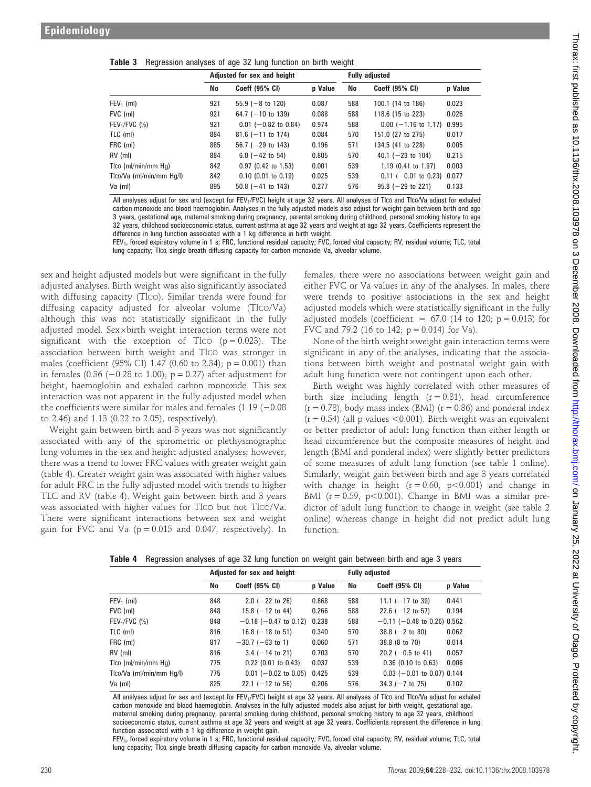|  | Table 3 Regression analyses of age 32 lung function on birth weight |  |  |  |  |  |  |  |  |  |
|--|---------------------------------------------------------------------|--|--|--|--|--|--|--|--|--|
|--|---------------------------------------------------------------------|--|--|--|--|--|--|--|--|--|

|                          | Adjusted for sex and height |                        |         |     | <b>Fully adjusted</b>  |         |  |  |
|--------------------------|-----------------------------|------------------------|---------|-----|------------------------|---------|--|--|
|                          | No                          | Coeff (95% CI)         | p Value | No  | Coeff (95% CI)         | p Value |  |  |
| $FEV1$ (ml)              | 921                         | 55.9 ( $-8$ to 120)    | 0.087   | 588 | 100.1 (14 to 186)      | 0.023   |  |  |
| FVC (ml)                 | 921                         | 64.7 ( $-10$ to 139)   | 0.088   | 588 | 118.6 (15 to 223)      | 0.026   |  |  |
| $FEV1/FVC$ (%)           | 921                         | $0.01$ (-0.82 to 0.84) | 0.974   | 588 | $0.00$ (-1.16 to 1.17) | 0.995   |  |  |
| TLC (ml)                 | 884                         | $81.6$ (-11 to 174)    | 0.084   | 570 | 151.0 (27 to 275)      | 0.017   |  |  |
| FRC (ml)                 | 885                         | 56.7 ( $-29$ to 143)   | 0.196   | 571 | 134.5 (41 to 228)      | 0.005   |  |  |
| RV (ml)                  | 884                         | 6.0 $(-42$ to 54)      | 0.805   | 570 | 40.1 ( $-23$ to 104)   | 0.215   |  |  |
| Tico (ml/min/mm Hg)      | 842                         | $0.97$ (0.42 to 1.53)  | 0.001   | 539 | $1.19$ (0.41 to 1.97)  | 0.003   |  |  |
| Tico/Va (ml/min/mm Hq/l) | 842                         | $0.10$ (0.01 to 0.19)  | 0.025   | 539 | $0.11$ (-0.01 to 0.23) | 0.077   |  |  |
| Va (ml)                  | 895                         | $50.8$ ( $-41$ to 143) | 0.277   | 576 | $95.8$ (-29 to 221)    | 0.133   |  |  |

All analyses adjust for sex and (except for FEV<sub>1</sub>/FVC) height at age 32 years. All analyses of Tlco and Tlco/Va adjust for exhaled carbon monoxide and blood haemoglobin. Analyses in the fully adjusted models also adjust for weight gain between birth and age 3 years, gestational age, maternal smoking during pregnancy, parental smoking during childhood, personal smoking history to age 32 years, childhood socioeconomic status, current asthma at age 32 years and weight at age 32 years. Coefficients represent the difference in lung function associated with a 1 kg difference in birth weight.

FEV1, forced expiratory volume in 1 s; FRC, functional residual capacity; FVC, forced vital capacity; RV, residual volume; TLC, total lung capacity; Tlco, single breath diffusing capacity for carbon monoxide; Va, alveolar volume.

sex and height adjusted models but were significant in the fully adjusted analyses. Birth weight was also significantly associated with diffusing capacity (Tlco). Similar trends were found for diffusing capacity adjusted for alveolar volume (TlCO/Va) although this was not statistically significant in the fully adjusted model. Sexxbirth weight interaction terms were not significant with the exception of Tlco  $(p = 0.023)$ . The association between birth weight and TlCO was stronger in males (coefficient (95% CI) 1.47 (0.60 to 2.34);  $p = 0.001$ ) than in females (0.36 ( $-0.28$  to 1.00); p = 0.27) after adjustment for height, haemoglobin and exhaled carbon monoxide. This sex interaction was not apparent in the fully adjusted model when the coefficients were similar for males and females  $(1.19 (-0.08$ to 2.46) and 1.13 (0.22 to 2.05), respectively).

Weight gain between birth and 3 years was not significantly associated with any of the spirometric or plethysmographic lung volumes in the sex and height adjusted analyses; however, there was a trend to lower FRC values with greater weight gain (table 4). Greater weight gain was associated with higher values for adult FRC in the fully adjusted model with trends to higher TLC and RV (table 4). Weight gain between birth and 3 years was associated with higher values for TlCO but not TlCO/Va. There were significant interactions between sex and weight gain for FVC and Va  $(p = 0.015$  and 0.047, respectively). In

females, there were no associations between weight gain and either FVC or Va values in any of the analyses. In males, there were trends to positive associations in the sex and height adjusted models which were statistically significant in the fully adjusted models (coefficient =  $67.0$  (14 to 120; p = 0.013) for FVC and 79.2 (16 to 142;  $p = 0.014$ ) for Va).

None of the birth weight xweight gain interaction terms were significant in any of the analyses, indicating that the associations between birth weight and postnatal weight gain with adult lung function were not contingent upon each other.

Birth weight was highly correlated with other measures of birth size including length  $(r = 0.81)$ , head circumference  $(r = 0.78)$ , body mass index (BMI)  $(r = 0.86)$  and ponderal index  $(r = 0.54)$  (all p values <0.001). Birth weight was an equivalent or better predictor of adult lung function than either length or head circumference but the composite measures of height and length (BMI and ponderal index) were slightly better predictors of some measures of adult lung function (see table 1 online). Similarly, weight gain between birth and age 3 years correlated with change in height  $(r = 0.60, p < 0.001)$  and change in BMI ( $r = 0.59$ ,  $p < 0.001$ ). Change in BMI was a similar predictor of adult lung function to change in weight (see table 2 online) whereas change in height did not predict adult lung function.

Table 4 Regression analyses of age 32 lung function on weight gain between birth and age 3 years

|                          |     | Adjusted for sex and height |         | <b>Fully adjusted</b> |                                  |         |  |
|--------------------------|-----|-----------------------------|---------|-----------------------|----------------------------------|---------|--|
|                          | No  | Coeff (95% CI)              | p Value | No                    | Coeff (95% CI)                   | p Value |  |
| $FEV_1$ (ml)             | 848 | $2.0$ (-22 to 26)           | 0.868   | 588                   | 11.1 $(-17$ to 39)               | 0.441   |  |
| FVC (ml)                 | 848 | 15.8 $(-12$ to 44)          | 0.266   | 588                   | 22.6 $(-12$ to 57)               | 0.194   |  |
| $FEV1/FVC$ (%)           | 848 | $-0.18$ ( $-0.47$ to 0.12)  | 0.238   | 588                   | $-0.11$ ( $-0.48$ to 0.26) 0.562 |         |  |
| TLC (ml)                 | 816 | 16.8 $(-18$ to 51)          | 0.340   | 570                   | $38.8$ (-2 to 80)                | 0.062   |  |
| FRC (ml)                 | 817 | $-30.7$ ( $-63$ to 1)       | 0.060   | 571                   | 38.8 (8 to 70)                   | 0.014   |  |
| $RV$ (ml)                | 816 | $3.4$ (-14 to 21)           | 0.703   | 570                   | 20.2 $(-0.5$ to 41)              | 0.057   |  |
| Tico (ml/min/mm Hg)      | 775 | $0.22$ (0.01 to 0.43)       | 0.037   | 539                   | $0.36$ (0.10 to 0.63)            | 0.006   |  |
| Tico/Va (ml/min/mm Hq/l) | 775 | $0.01$ (-0.02 to 0.05)      | 0.425   | 539                   | $0.03$ (-0.01 to 0.07) 0.144     |         |  |
| Va (ml)                  | 825 | $22.1$ (-12 to 56)          | 0.206   | 576                   | $34.3$ (-7 to 75)                | 0.102   |  |

All analyses adjust for sex and (except for FEV<sub>1</sub>/FVC) height at age 32 years. All analyses of Tlco and Tlco/Va adjust for exhaled carbon monoxide and blood haemoglobin. Analyses in the fully adjusted models also adjust for birth weight, gestational age, maternal smoking during pregnancy, parental smoking during childhood, personal smoking history to age 32 years, childhood socioeconomic status, current asthma at age 32 years and weight at age 32 years. Coefficients represent the difference in lung function associated with a 1 kg difference in weight gain.

FEV<sub>1</sub>, forced expiratory volume in 1 s; FRC, functional residual capacity; FVC, forced vital capacity; RV, residual volume; TLC, total lung capacity; Tlco, single breath diffusing capacity for carbon monoxide; Va, alveolar volume.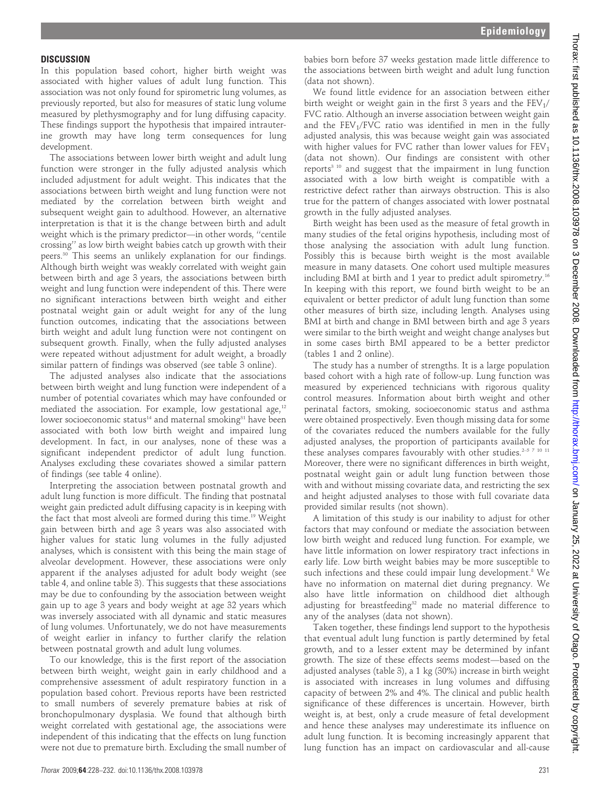## **DISCUSSION**

In this population based cohort, higher birth weight was associated with higher values of adult lung function. This association was not only found for spirometric lung volumes, as previously reported, but also for measures of static lung volume measured by plethysmography and for lung diffusing capacity. These findings support the hypothesis that impaired intrauterine growth may have long term consequences for lung development.

The associations between lower birth weight and adult lung function were stronger in the fully adjusted analysis which included adjustment for adult weight. This indicates that the associations between birth weight and lung function were not mediated by the correlation between birth weight and subsequent weight gain to adulthood. However, an alternative interpretation is that it is the change between birth and adult weight which is the primary predictor—in other words, ''centile crossing'' as low birth weight babies catch up growth with their peers.30 This seems an unlikely explanation for our findings. Although birth weight was weakly correlated with weight gain between birth and age 3 years, the associations between birth weight and lung function were independent of this. There were no significant interactions between birth weight and either postnatal weight gain or adult weight for any of the lung function outcomes, indicating that the associations between birth weight and adult lung function were not contingent on subsequent growth. Finally, when the fully adjusted analyses were repeated without adjustment for adult weight, a broadly similar pattern of findings was observed (see table 3 online).

The adjusted analyses also indicate that the associations between birth weight and lung function were independent of a number of potential covariates which may have confounded or mediated the association. For example, low gestational age,<sup>12</sup> lower socioeconomic status<sup>14</sup> and maternal smoking<sup>31</sup> have been associated with both low birth weight and impaired lung development. In fact, in our analyses, none of these was a significant independent predictor of adult lung function. Analyses excluding these covariates showed a similar pattern of findings (see table 4 online).

Interpreting the association between postnatal growth and adult lung function is more difficult. The finding that postnatal weight gain predicted adult diffusing capacity is in keeping with the fact that most alveoli are formed during this time.19 Weight gain between birth and age 3 years was also associated with higher values for static lung volumes in the fully adjusted analyses, which is consistent with this being the main stage of alveolar development. However, these associations were only apparent if the analyses adjusted for adult body weight (see table 4, and online table 3). This suggests that these associations may be due to confounding by the association between weight gain up to age 3 years and body weight at age 32 years which was inversely associated with all dynamic and static measures of lung volumes. Unfortunately, we do not have measurements of weight earlier in infancy to further clarify the relation between postnatal growth and adult lung volumes.

To our knowledge, this is the first report of the association between birth weight, weight gain in early childhood and a comprehensive assessment of adult respiratory function in a population based cohort. Previous reports have been restricted to small numbers of severely premature babies at risk of bronchopulmonary dysplasia. We found that although birth weight correlated with gestational age, the associations were independent of this indicating that the effects on lung function were not due to premature birth. Excluding the small number of babies born before 37 weeks gestation made little difference to the associations between birth weight and adult lung function (data not shown).

We found little evidence for an association between either birth weight or weight gain in the first 3 years and the  $FEV<sub>1</sub>/$ FVC ratio. Although an inverse association between weight gain and the  $FEV<sub>1</sub>/FVC$  ratio was identified in men in the fully adjusted analysis, this was because weight gain was associated with higher values for FVC rather than lower values for  $FEV<sub>1</sub>$ (data not shown). Our findings are consistent with other reports<sup>3 10</sup> and suggest that the impairment in lung function associated with a low birth weight is compatible with a restrictive defect rather than airways obstruction. This is also true for the pattern of changes associated with lower postnatal growth in the fully adjusted analyses.

Birth weight has been used as the measure of fetal growth in many studies of the fetal origins hypothesis, including most of those analysing the association with adult lung function. Possibly this is because birth weight is the most available measure in many datasets. One cohort used multiple measures including BMI at birth and 1 year to predict adult spirometry.<sup>16</sup> In keeping with this report, we found birth weight to be an equivalent or better predictor of adult lung function than some other measures of birth size, including length. Analyses using BMI at birth and change in BMI between birth and age 3 years were similar to the birth weight and weight change analyses but in some cases birth BMI appeared to be a better predictor (tables 1 and 2 online).

The study has a number of strengths. It is a large population based cohort with a high rate of follow-up. Lung function was measured by experienced technicians with rigorous quality control measures. Information about birth weight and other perinatal factors, smoking, socioeconomic status and asthma were obtained prospectively. Even though missing data for some of the covariates reduced the numbers available for the fully adjusted analyses, the proportion of participants available for these analyses compares favourably with other studies.<sup>2-5 7 10 11</sup> Moreover, there were no significant differences in birth weight, postnatal weight gain or adult lung function between those with and without missing covariate data, and restricting the sex and height adjusted analyses to those with full covariate data provided similar results (not shown).

A limitation of this study is our inability to adjust for other factors that may confound or mediate the association between low birth weight and reduced lung function. For example, we have little information on lower respiratory tract infections in early life. Low birth weight babies may be more susceptible to such infections and these could impair lung development.<sup>8</sup> We have no information on maternal diet during pregnancy. We also have little information on childhood diet although adjusting for breastfeeding<sup>32</sup> made no material difference to any of the analyses (data not shown).

Taken together, these findings lend support to the hypothesis that eventual adult lung function is partly determined by fetal growth, and to a lesser extent may be determined by infant growth. The size of these effects seems modest—based on the adjusted analyses (table 3), a 1 kg (30%) increase in birth weight is associated with increases in lung volumes and diffusing capacity of between 2% and 4%. The clinical and public health significance of these differences is uncertain. However, birth weight is, at best, only a crude measure of fetal development and hence these analyses may underestimate its influence on adult lung function. It is becoming increasingly apparent that lung function has an impact on cardiovascular and all-cause